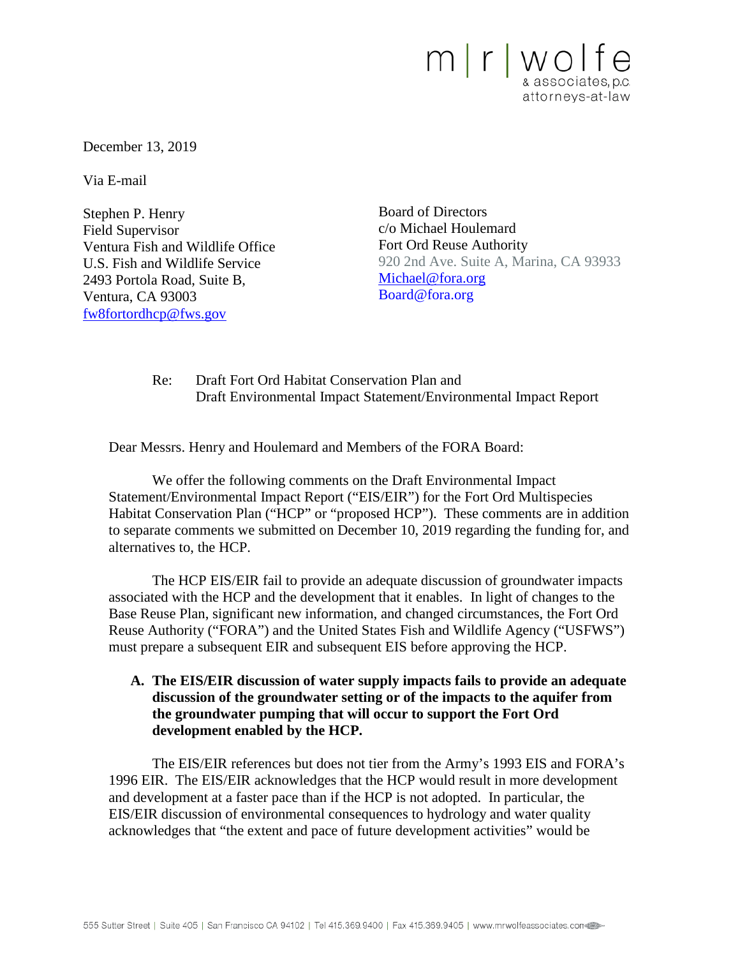

December 13, 2019

Via E-mail

Stephen P. Henry Field Supervisor Ventura Fish and Wildlife Office U.S. Fish and Wildlife Service 2493 Portola Road, Suite B, Ventura, CA 93003 [fw8fortordhcp@fws.gov](mailto:fw8fortordhcp@fws.gov)

Board of Directors c/o Michael Houlemard Fort Ord Reuse Authority 920 2nd Ave. Suite A, Marina, CA 93933 [Michael@fora.org](mailto:Michael@fora.org) Board@fora.org

Re: Draft Fort Ord Habitat Conservation Plan and Draft Environmental Impact Statement/Environmental Impact Report

Dear Messrs. Henry and Houlemard and Members of the FORA Board:

We offer the following comments on the Draft Environmental Impact Statement/Environmental Impact Report ("EIS/EIR") for the Fort Ord Multispecies Habitat Conservation Plan ("HCP" or "proposed HCP"). These comments are in addition to separate comments we submitted on December 10, 2019 regarding the funding for, and alternatives to, the HCP.

The HCP EIS/EIR fail to provide an adequate discussion of groundwater impacts associated with the HCP and the development that it enables. In light of changes to the Base Reuse Plan, significant new information, and changed circumstances, the Fort Ord Reuse Authority ("FORA") and the United States Fish and Wildlife Agency ("USFWS") must prepare a subsequent EIR and subsequent EIS before approving the HCP.

# **A. The EIS/EIR discussion of water supply impacts fails to provide an adequate discussion of the groundwater setting or of the impacts to the aquifer from the groundwater pumping that will occur to support the Fort Ord development enabled by the HCP.**

The EIS/EIR references but does not tier from the Army's 1993 EIS and FORA's 1996 EIR. The EIS/EIR acknowledges that the HCP would result in more development and development at a faster pace than if the HCP is not adopted. In particular, the EIS/EIR discussion of environmental consequences to hydrology and water quality acknowledges that "the extent and pace of future development activities" would be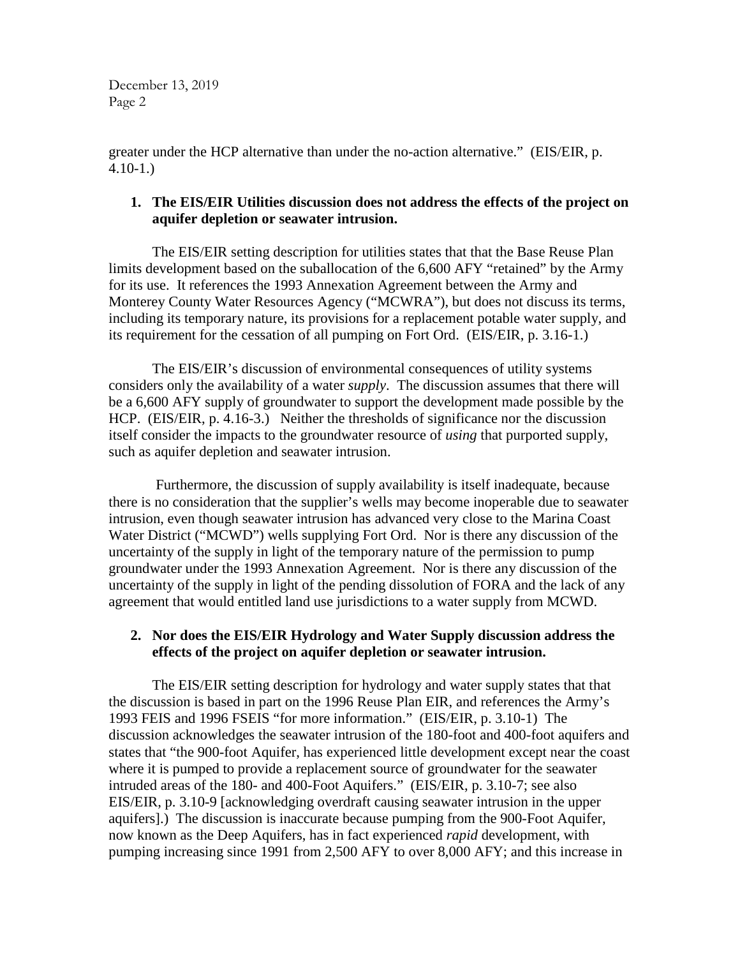greater under the HCP alternative than under the no-action alternative." (EIS/EIR, p. 4.10-1.)

# **1. The EIS/EIR Utilities discussion does not address the effects of the project on aquifer depletion or seawater intrusion.**

The EIS/EIR setting description for utilities states that that the Base Reuse Plan limits development based on the suballocation of the 6,600 AFY "retained" by the Army for its use. It references the 1993 Annexation Agreement between the Army and Monterey County Water Resources Agency ("MCWRA"), but does not discuss its terms, including its temporary nature, its provisions for a replacement potable water supply, and its requirement for the cessation of all pumping on Fort Ord. (EIS/EIR, p. 3.16-1.)

The EIS/EIR's discussion of environmental consequences of utility systems considers only the availability of a water *supply*. The discussion assumes that there will be a 6,600 AFY supply of groundwater to support the development made possible by the HCP. (EIS/EIR, p. 4.16-3.) Neither the thresholds of significance nor the discussion itself consider the impacts to the groundwater resource of *using* that purported supply, such as aquifer depletion and seawater intrusion.

Furthermore, the discussion of supply availability is itself inadequate, because there is no consideration that the supplier's wells may become inoperable due to seawater intrusion, even though seawater intrusion has advanced very close to the Marina Coast Water District ("MCWD") wells supplying Fort Ord. Nor is there any discussion of the uncertainty of the supply in light of the temporary nature of the permission to pump groundwater under the 1993 Annexation Agreement. Nor is there any discussion of the uncertainty of the supply in light of the pending dissolution of FORA and the lack of any agreement that would entitled land use jurisdictions to a water supply from MCWD.

# **2. Nor does the EIS/EIR Hydrology and Water Supply discussion address the effects of the project on aquifer depletion or seawater intrusion.**

The EIS/EIR setting description for hydrology and water supply states that that the discussion is based in part on the 1996 Reuse Plan EIR, and references the Army's 1993 FEIS and 1996 FSEIS "for more information." (EIS/EIR, p. 3.10-1) The discussion acknowledges the seawater intrusion of the 180-foot and 400-foot aquifers and states that "the 900-foot Aquifer, has experienced little development except near the coast where it is pumped to provide a replacement source of groundwater for the seawater intruded areas of the 180- and 400-Foot Aquifers." (EIS/EIR, p. 3.10-7; see also EIS/EIR, p. 3.10-9 [acknowledging overdraft causing seawater intrusion in the upper aquifers].) The discussion is inaccurate because pumping from the 900-Foot Aquifer, now known as the Deep Aquifers, has in fact experienced *rapid* development, with pumping increasing since 1991 from 2,500 AFY to over 8,000 AFY; and this increase in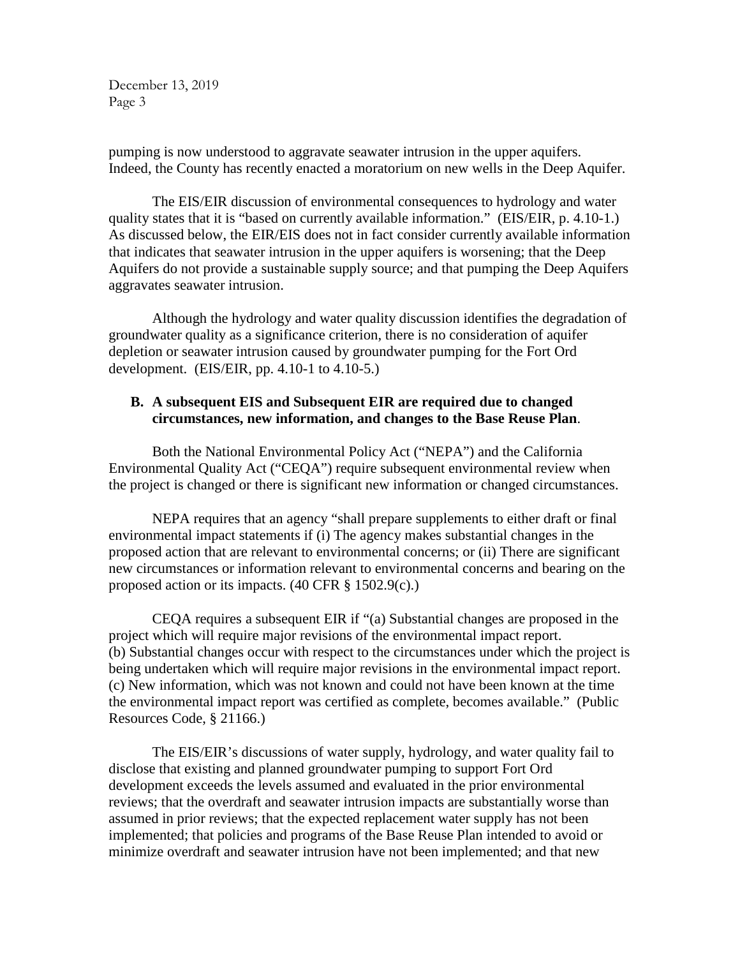pumping is now understood to aggravate seawater intrusion in the upper aquifers. Indeed, the County has recently enacted a moratorium on new wells in the Deep Aquifer.

The EIS/EIR discussion of environmental consequences to hydrology and water quality states that it is "based on currently available information." (EIS/EIR, p. 4.10-1.) As discussed below, the EIR/EIS does not in fact consider currently available information that indicates that seawater intrusion in the upper aquifers is worsening; that the Deep Aquifers do not provide a sustainable supply source; and that pumping the Deep Aquifers aggravates seawater intrusion.

Although the hydrology and water quality discussion identifies the degradation of groundwater quality as a significance criterion, there is no consideration of aquifer depletion or seawater intrusion caused by groundwater pumping for the Fort Ord development. (EIS/EIR, pp. 4.10-1 to 4.10-5.)

#### **B. A subsequent EIS and Subsequent EIR are required due to changed circumstances, new information, and changes to the Base Reuse Plan**.

Both the National Environmental Policy Act ("NEPA") and the California Environmental Quality Act ("CEQA") require subsequent environmental review when the project is changed or there is significant new information or changed circumstances.

NEPA requires that an agency "shall prepare supplements to either draft or final environmental impact statements if (i) The agency makes substantial changes in the proposed action that are relevant to environmental concerns; or (ii) There are significant new circumstances or information relevant to environmental concerns and bearing on the proposed action or its impacts.  $(40 \text{ CFR} \text{ § } 1502.9(c))$ .

CEQA requires a subsequent EIR if "(a) Substantial changes are proposed in the project which will require major revisions of the environmental impact report. (b) Substantial changes occur with respect to the circumstances under which the project is being undertaken which will require major revisions in the environmental impact report. (c) New information, which was not known and could not have been known at the time the environmental impact report was certified as complete, becomes available." (Public Resources Code, § 21166.)

The EIS/EIR's discussions of water supply, hydrology, and water quality fail to disclose that existing and planned groundwater pumping to support Fort Ord development exceeds the levels assumed and evaluated in the prior environmental reviews; that the overdraft and seawater intrusion impacts are substantially worse than assumed in prior reviews; that the expected replacement water supply has not been implemented; that policies and programs of the Base Reuse Plan intended to avoid or minimize overdraft and seawater intrusion have not been implemented; and that new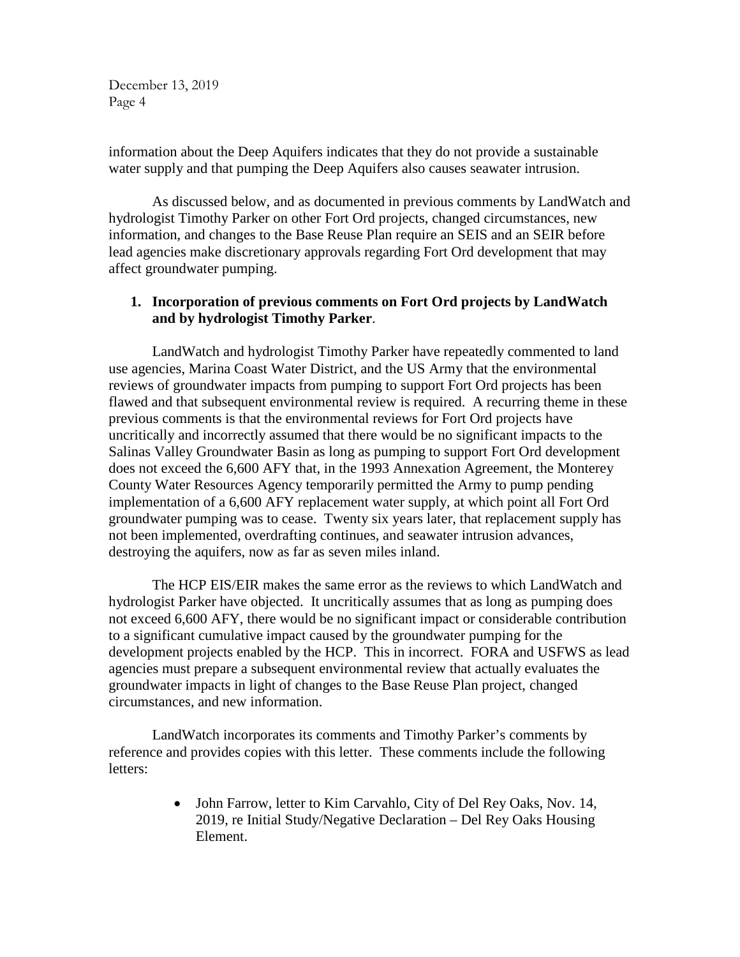information about the Deep Aquifers indicates that they do not provide a sustainable water supply and that pumping the Deep Aquifers also causes seawater intrusion.

As discussed below, and as documented in previous comments by LandWatch and hydrologist Timothy Parker on other Fort Ord projects, changed circumstances, new information, and changes to the Base Reuse Plan require an SEIS and an SEIR before lead agencies make discretionary approvals regarding Fort Ord development that may affect groundwater pumping.

#### **1. Incorporation of previous comments on Fort Ord projects by LandWatch and by hydrologist Timothy Parker**.

LandWatch and hydrologist Timothy Parker have repeatedly commented to land use agencies, Marina Coast Water District, and the US Army that the environmental reviews of groundwater impacts from pumping to support Fort Ord projects has been flawed and that subsequent environmental review is required. A recurring theme in these previous comments is that the environmental reviews for Fort Ord projects have uncritically and incorrectly assumed that there would be no significant impacts to the Salinas Valley Groundwater Basin as long as pumping to support Fort Ord development does not exceed the 6,600 AFY that, in the 1993 Annexation Agreement, the Monterey County Water Resources Agency temporarily permitted the Army to pump pending implementation of a 6,600 AFY replacement water supply, at which point all Fort Ord groundwater pumping was to cease. Twenty six years later, that replacement supply has not been implemented, overdrafting continues, and seawater intrusion advances, destroying the aquifers, now as far as seven miles inland.

The HCP EIS/EIR makes the same error as the reviews to which LandWatch and hydrologist Parker have objected. It uncritically assumes that as long as pumping does not exceed 6,600 AFY, there would be no significant impact or considerable contribution to a significant cumulative impact caused by the groundwater pumping for the development projects enabled by the HCP. This in incorrect. FORA and USFWS as lead agencies must prepare a subsequent environmental review that actually evaluates the groundwater impacts in light of changes to the Base Reuse Plan project, changed circumstances, and new information.

LandWatch incorporates its comments and Timothy Parker's comments by reference and provides copies with this letter. These comments include the following letters:

> • John Farrow, letter to Kim Carvahlo, City of Del Rey Oaks, Nov. 14, 2019, re Initial Study/Negative Declaration – Del Rey Oaks Housing Element.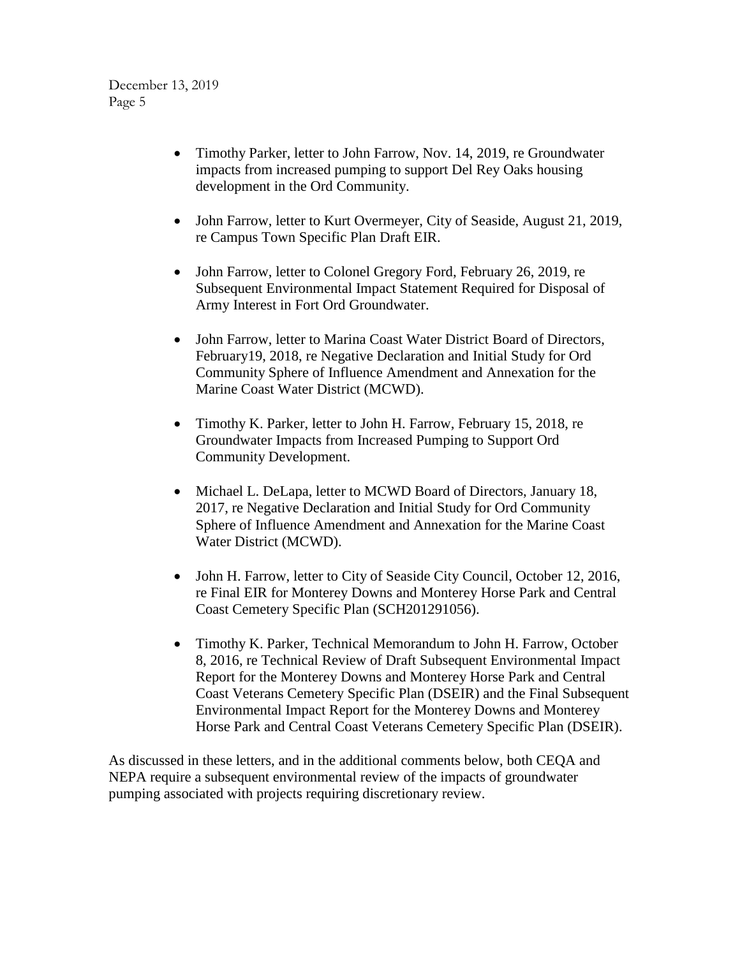- Timothy Parker, letter to John Farrow, Nov. 14, 2019, re Groundwater impacts from increased pumping to support Del Rey Oaks housing development in the Ord Community.
- John Farrow, letter to Kurt Overmeyer, City of Seaside, August 21, 2019, re Campus Town Specific Plan Draft EIR.
- John Farrow, letter to Colonel Gregory Ford, February 26, 2019, re Subsequent Environmental Impact Statement Required for Disposal of Army Interest in Fort Ord Groundwater.
- John Farrow, letter to Marina Coast Water District Board of Directors, February19, 2018, re Negative Declaration and Initial Study for Ord Community Sphere of Influence Amendment and Annexation for the Marine Coast Water District (MCWD).
- Timothy K. Parker, letter to John H. Farrow, February 15, 2018, re Groundwater Impacts from Increased Pumping to Support Ord Community Development.
- Michael L. DeLapa, letter to MCWD Board of Directors, January 18, 2017, re Negative Declaration and Initial Study for Ord Community Sphere of Influence Amendment and Annexation for the Marine Coast Water District (MCWD).
- John H. Farrow, letter to City of Seaside City Council, October 12, 2016, re Final EIR for Monterey Downs and Monterey Horse Park and Central Coast Cemetery Specific Plan (SCH201291056).
- Timothy K. Parker, Technical Memorandum to John H. Farrow, October 8, 2016, re Technical Review of Draft Subsequent Environmental Impact Report for the Monterey Downs and Monterey Horse Park and Central Coast Veterans Cemetery Specific Plan (DSEIR) and the Final Subsequent Environmental Impact Report for the Monterey Downs and Monterey Horse Park and Central Coast Veterans Cemetery Specific Plan (DSEIR).

As discussed in these letters, and in the additional comments below, both CEQA and NEPA require a subsequent environmental review of the impacts of groundwater pumping associated with projects requiring discretionary review.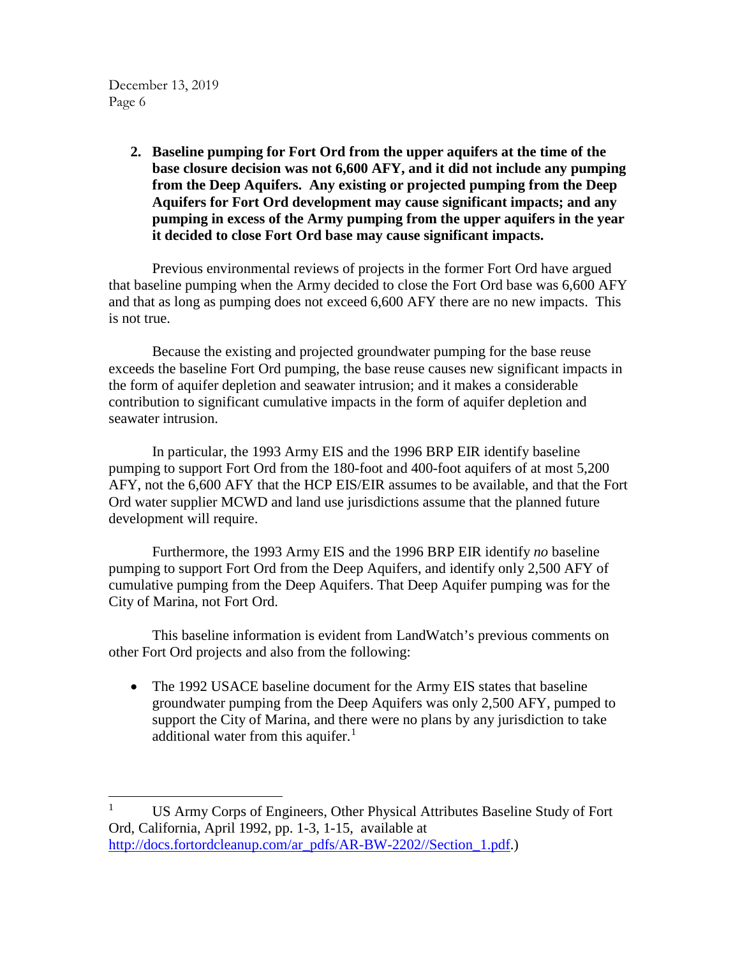> **2. Baseline pumping for Fort Ord from the upper aquifers at the time of the base closure decision was not 6,600 AFY, and it did not include any pumping from the Deep Aquifers. Any existing or projected pumping from the Deep Aquifers for Fort Ord development may cause significant impacts; and any pumping in excess of the Army pumping from the upper aquifers in the year it decided to close Fort Ord base may cause significant impacts.**

Previous environmental reviews of projects in the former Fort Ord have argued that baseline pumping when the Army decided to close the Fort Ord base was 6,600 AFY and that as long as pumping does not exceed 6,600 AFY there are no new impacts. This is not true.

Because the existing and projected groundwater pumping for the base reuse exceeds the baseline Fort Ord pumping, the base reuse causes new significant impacts in the form of aquifer depletion and seawater intrusion; and it makes a considerable contribution to significant cumulative impacts in the form of aquifer depletion and seawater intrusion.

In particular, the 1993 Army EIS and the 1996 BRP EIR identify baseline pumping to support Fort Ord from the 180-foot and 400-foot aquifers of at most 5,200 AFY, not the 6,600 AFY that the HCP EIS/EIR assumes to be available, and that the Fort Ord water supplier MCWD and land use jurisdictions assume that the planned future development will require.

Furthermore, the 1993 Army EIS and the 1996 BRP EIR identify *no* baseline pumping to support Fort Ord from the Deep Aquifers, and identify only 2,500 AFY of cumulative pumping from the Deep Aquifers. That Deep Aquifer pumping was for the City of Marina, not Fort Ord.

This baseline information is evident from LandWatch's previous comments on other Fort Ord projects and also from the following:

• The 1992 USACE baseline document for the Army EIS states that baseline groundwater pumping from the Deep Aquifers was only 2,500 AFY, pumped to support the City of Marina, and there were no plans by any jurisdiction to take additional water from this aquifer. $<sup>1</sup>$  $<sup>1</sup>$  $<sup>1</sup>$ </sup>

<span id="page-5-0"></span><sup>&</sup>lt;sup>1</sup> US Army Corps of Engineers, Other Physical Attributes Baseline Study of Fort Ord, California, April 1992, pp. 1-3, 1-15, available at [http://docs.fortordcleanup.com/ar\\_pdfs/AR-BW-2202//Section\\_1.pdf.](http://docs.fortordcleanup.com/ar_pdfs/AR-BW-2202/Section_1.pdf))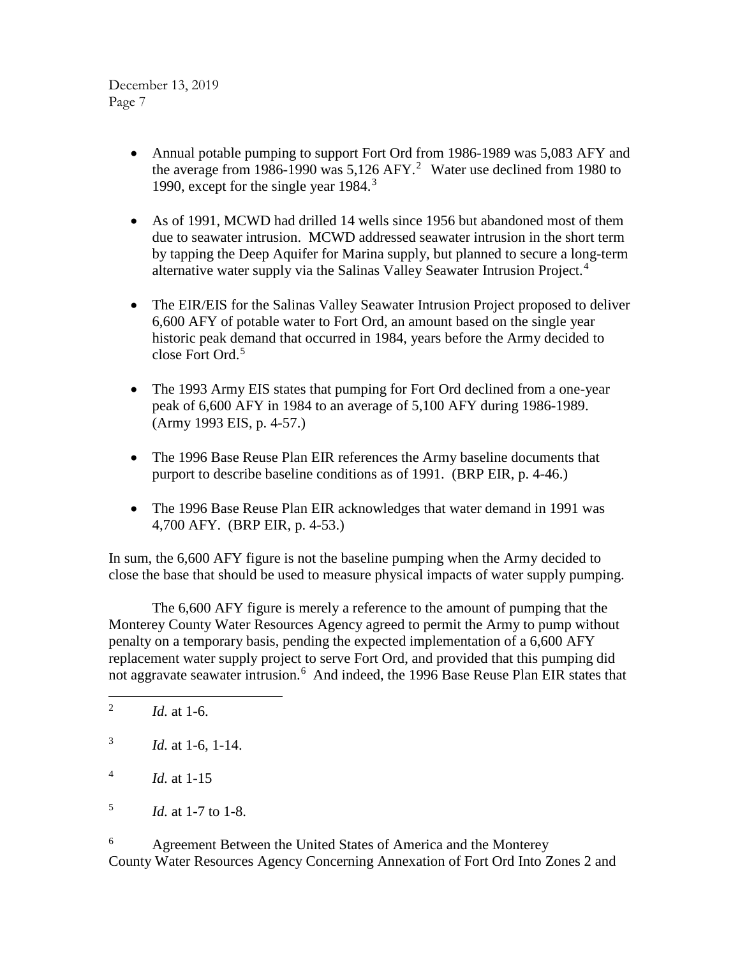- Annual potable pumping to support Fort Ord from 1986-1989 was 5,083 AFY and the average from 1986-1990 was  $5,126$  $5,126$  $5,126$  AFY.<sup>2</sup> Water use declined from 1980 to 1990, except for the single year 1984.<sup>[3](#page-6-1)</sup>
- As of 1991, MCWD had drilled 14 wells since 1956 but abandoned most of them due to seawater intrusion. MCWD addressed seawater intrusion in the short term by tapping the Deep Aquifer for Marina supply, but planned to secure a long-term alternative water supply via the Salinas Valley Seawater Intrusion Project.<sup>[4](#page-6-2)</sup>
- The EIR/EIS for the Salinas Valley Seawater Intrusion Project proposed to deliver 6,600 AFY of potable water to Fort Ord, an amount based on the single year historic peak demand that occurred in 1984, years before the Army decided to close Fort Ord.<sup>[5](#page-6-3)</sup>
- The 1993 Army EIS states that pumping for Fort Ord declined from a one-year peak of 6,600 AFY in 1984 to an average of 5,100 AFY during 1986-1989. (Army 1993 EIS, p. 4-57.)
- The 1996 Base Reuse Plan EIR references the Army baseline documents that purport to describe baseline conditions as of 1991. (BRP EIR, p. 4-46.)
- The 1996 Base Reuse Plan EIR acknowledges that water demand in 1991 was 4,700 AFY. (BRP EIR, p. 4-53.)

In sum, the 6,600 AFY figure is not the baseline pumping when the Army decided to close the base that should be used to measure physical impacts of water supply pumping.

The 6,600 AFY figure is merely a reference to the amount of pumping that the Monterey County Water Resources Agency agreed to permit the Army to pump without penalty on a temporary basis, pending the expected implementation of a 6,600 AFY replacement water supply project to serve Fort Ord, and provided that this pumping did not aggravate seawater intrusion.<sup>[6](#page-6-4)</sup> And indeed, the 1996 Base Reuse Plan EIR states that

<span id="page-6-4"></span><sup>6</sup> Agreement Between the United States of America and the Monterey County Water Resources Agency Concerning Annexation of Fort Ord Into Zones 2 and

<span id="page-6-0"></span><sup>&</sup>lt;sup>2</sup> *Id.* at 1-6.

<span id="page-6-1"></span><sup>3</sup> *Id.* at 1-6, 1-14.

<span id="page-6-2"></span> $^{4}$  *Id.* at 1-15

<span id="page-6-3"></span><sup>5</sup> *Id.* at 1-7 to 1-8.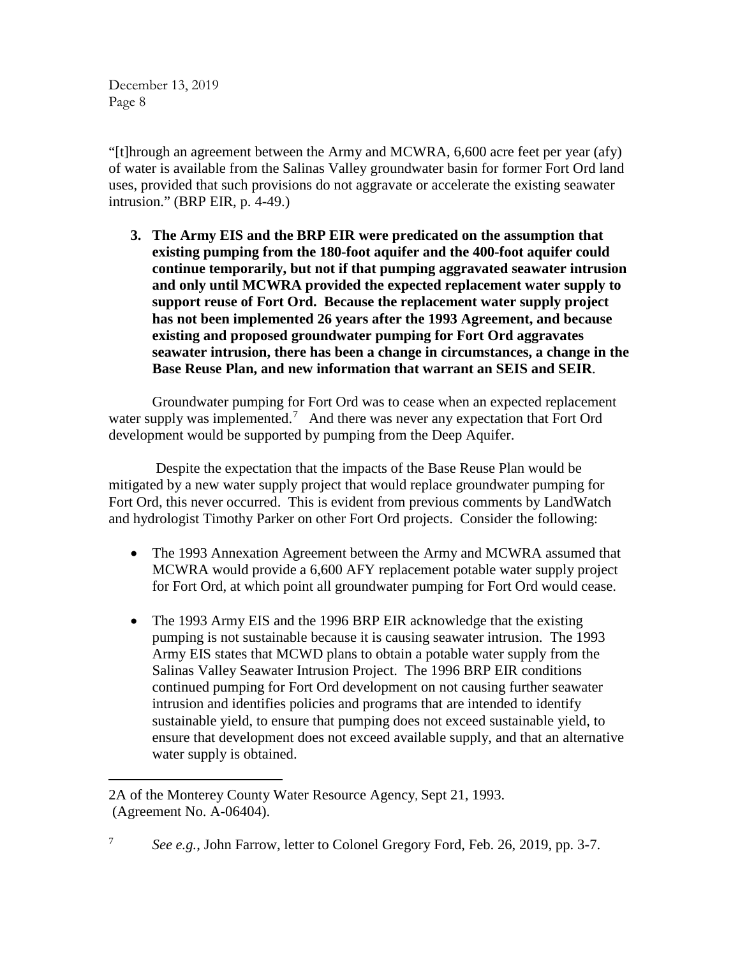"[t]hrough an agreement between the Army and MCWRA, 6,600 acre feet per year (afy) of water is available from the Salinas Valley groundwater basin for former Fort Ord land uses, provided that such provisions do not aggravate or accelerate the existing seawater intrusion." (BRP EIR, p. 4-49.)

**3. The Army EIS and the BRP EIR were predicated on the assumption that existing pumping from the 180-foot aquifer and the 400-foot aquifer could continue temporarily, but not if that pumping aggravated seawater intrusion and only until MCWRA provided the expected replacement water supply to support reuse of Fort Ord. Because the replacement water supply project has not been implemented 26 years after the 1993 Agreement, and because existing and proposed groundwater pumping for Fort Ord aggravates seawater intrusion, there has been a change in circumstances, a change in the Base Reuse Plan, and new information that warrant an SEIS and SEIR**.

Groundwater pumping for Fort Ord was to cease when an expected replacement water supply was implemented.<sup>[7](#page-7-0)</sup> And there was never any expectation that Fort Ord development would be supported by pumping from the Deep Aquifer.

Despite the expectation that the impacts of the Base Reuse Plan would be mitigated by a new water supply project that would replace groundwater pumping for Fort Ord, this never occurred. This is evident from previous comments by LandWatch and hydrologist Timothy Parker on other Fort Ord projects. Consider the following:

- The 1993 Annexation Agreement between the Army and MCWRA assumed that MCWRA would provide a 6,600 AFY replacement potable water supply project for Fort Ord, at which point all groundwater pumping for Fort Ord would cease.
- The 1993 Army EIS and the 1996 BRP EIR acknowledge that the existing pumping is not sustainable because it is causing seawater intrusion. The 1993 Army EIS states that MCWD plans to obtain a potable water supply from the Salinas Valley Seawater Intrusion Project. The 1996 BRP EIR conditions continued pumping for Fort Ord development on not causing further seawater intrusion and identifies policies and programs that are intended to identify sustainable yield, to ensure that pumping does not exceed sustainable yield, to ensure that development does not exceed available supply, and that an alternative water supply is obtained.

<span id="page-7-0"></span><sup>7</sup> *See e.g.*, John Farrow, letter to Colonel Gregory Ford, Feb. 26, 2019, pp. 3-7.

 $\overline{a}$ 2A of the Monterey County Water Resource Agency, Sept 21, 1993. (Agreement No. A-06404).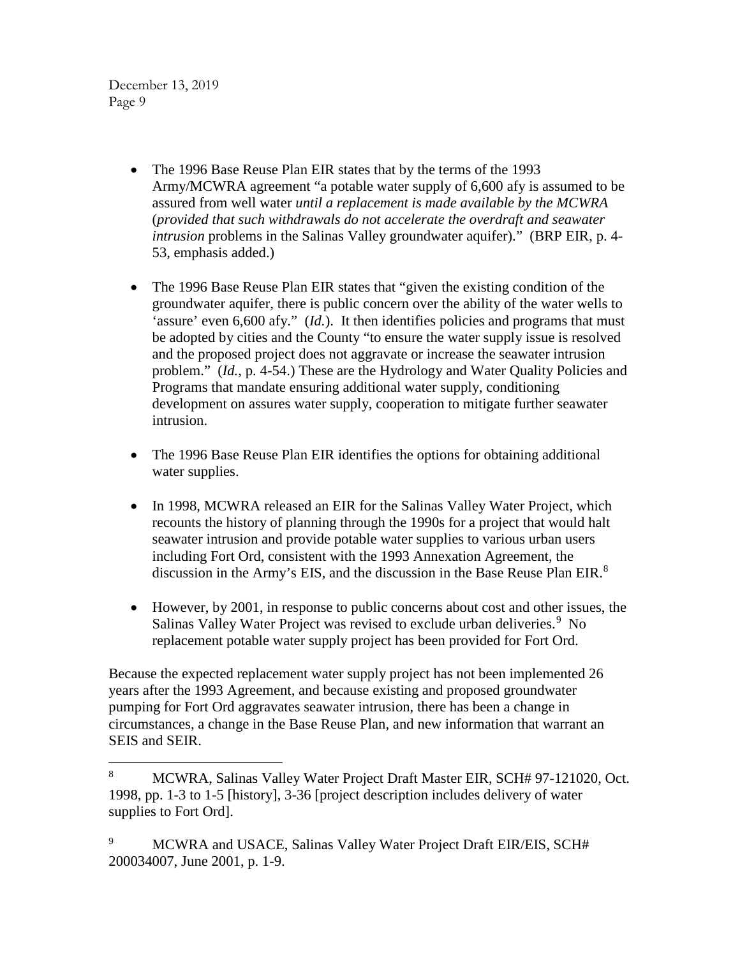- The 1996 Base Reuse Plan EIR states that by the terms of the 1993 Army/MCWRA agreement "a potable water supply of 6,600 afy is assumed to be assured from well water *until a replacement is made available by the MCWRA* (*provided that such withdrawals do not accelerate the overdraft and seawater intrusion* problems in the Salinas Valley groundwater aquifer)." (BRP EIR, p. 4- 53, emphasis added.)
- The 1996 Base Reuse Plan EIR states that "given the existing condition of the groundwater aquifer, there is public concern over the ability of the water wells to 'assure' even 6,600 afy." (*Id.*). It then identifies policies and programs that must be adopted by cities and the County "to ensure the water supply issue is resolved and the proposed project does not aggravate or increase the seawater intrusion problem." (*Id.*, p. 4-54.) These are the Hydrology and Water Quality Policies and Programs that mandate ensuring additional water supply, conditioning development on assures water supply, cooperation to mitigate further seawater intrusion.
- The 1996 Base Reuse Plan EIR identifies the options for obtaining additional water supplies.
- In 1998, MCWRA released an EIR for the Salinas Valley Water Project, which recounts the history of planning through the 1990s for a project that would halt seawater intrusion and provide potable water supplies to various urban users including Fort Ord, consistent with the 1993 Annexation Agreement, the discussion in the Army's EIS, and the discussion in the Base Reuse Plan EIR.<sup>[8](#page-8-0)</sup>
- However, by 2001, in response to public concerns about cost and other issues, the Salinas Valley Water Project was revised to exclude urban deliveries.<sup>[9](#page-8-1)</sup> No replacement potable water supply project has been provided for Fort Ord.

Because the expected replacement water supply project has not been implemented 26 years after the 1993 Agreement, and because existing and proposed groundwater pumping for Fort Ord aggravates seawater intrusion, there has been a change in circumstances, a change in the Base Reuse Plan, and new information that warrant an SEIS and SEIR.

<span id="page-8-0"></span> <sup>8</sup> MCWRA, Salinas Valley Water Project Draft Master EIR, SCH# 97-121020, Oct. 1998, pp. 1-3 to 1-5 [history], 3-36 [project description includes delivery of water supplies to Fort Ord].

<span id="page-8-1"></span><sup>&</sup>lt;sup>9</sup> MCWRA and USACE, Salinas Valley Water Project Draft EIR/EIS, SCH# 200034007, June 2001, p. 1-9.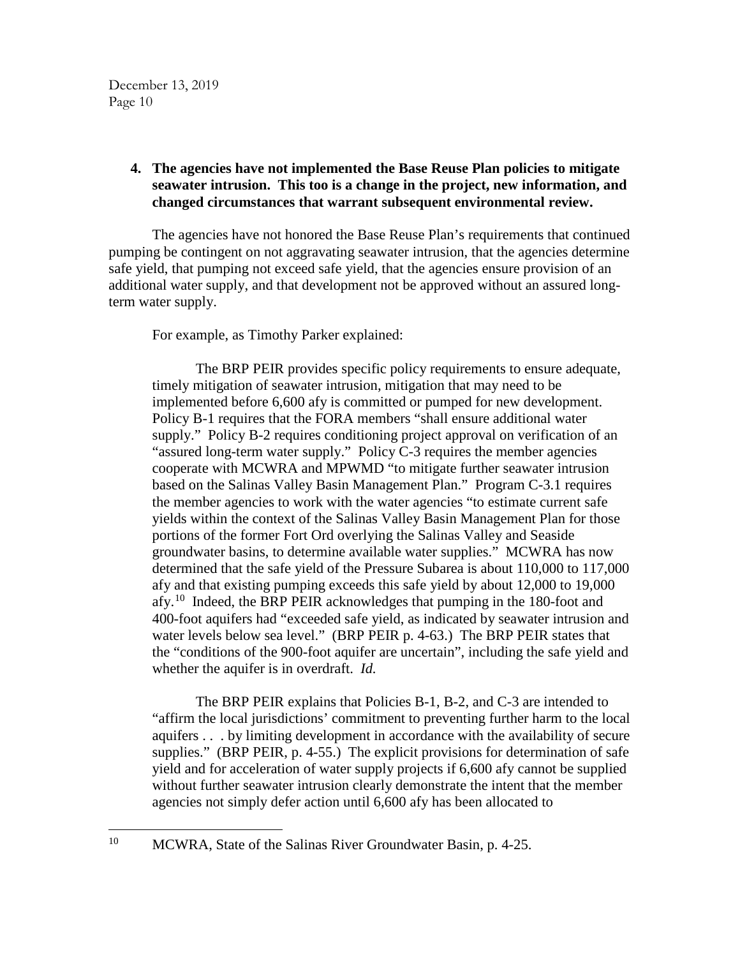# **4. The agencies have not implemented the Base Reuse Plan policies to mitigate seawater intrusion. This too is a change in the project, new information, and changed circumstances that warrant subsequent environmental review.**

The agencies have not honored the Base Reuse Plan's requirements that continued pumping be contingent on not aggravating seawater intrusion, that the agencies determine safe yield, that pumping not exceed safe yield, that the agencies ensure provision of an additional water supply, and that development not be approved without an assured longterm water supply.

For example, as Timothy Parker explained:

The BRP PEIR provides specific policy requirements to ensure adequate, timely mitigation of seawater intrusion, mitigation that may need to be implemented before 6,600 afy is committed or pumped for new development. Policy B-1 requires that the FORA members "shall ensure additional water supply." Policy B-2 requires conditioning project approval on verification of an "assured long-term water supply." Policy C-3 requires the member agencies cooperate with MCWRA and MPWMD "to mitigate further seawater intrusion based on the Salinas Valley Basin Management Plan." Program C-3.1 requires the member agencies to work with the water agencies "to estimate current safe yields within the context of the Salinas Valley Basin Management Plan for those portions of the former Fort Ord overlying the Salinas Valley and Seaside groundwater basins, to determine available water supplies." MCWRA has now determined that the safe yield of the Pressure Subarea is about 110,000 to 117,000 afy and that existing pumping exceeds this safe yield by about 12,000 to 19,000 afy.<sup>[10](#page-9-0)</sup> Indeed, the BRP PEIR acknowledges that pumping in the 180-foot and 400-foot aquifers had "exceeded safe yield, as indicated by seawater intrusion and water levels below sea level." (BRP PEIR p. 4-63.) The BRP PEIR states that the "conditions of the 900-foot aquifer are uncertain", including the safe yield and whether the aquifer is in overdraft. *Id.*

The BRP PEIR explains that Policies B-1, B-2, and C-3 are intended to "affirm the local jurisdictions' commitment to preventing further harm to the local aquifers . . . by limiting development in accordance with the availability of secure supplies." (BRP PEIR, p. 4-55.) The explicit provisions for determination of safe yield and for acceleration of water supply projects if 6,600 afy cannot be supplied without further seawater intrusion clearly demonstrate the intent that the member agencies not simply defer action until 6,600 afy has been allocated to

<span id="page-9-0"></span><sup>&</sup>lt;sup>10</sup> MCWRA, State of the Salinas River Groundwater Basin, p. 4-25.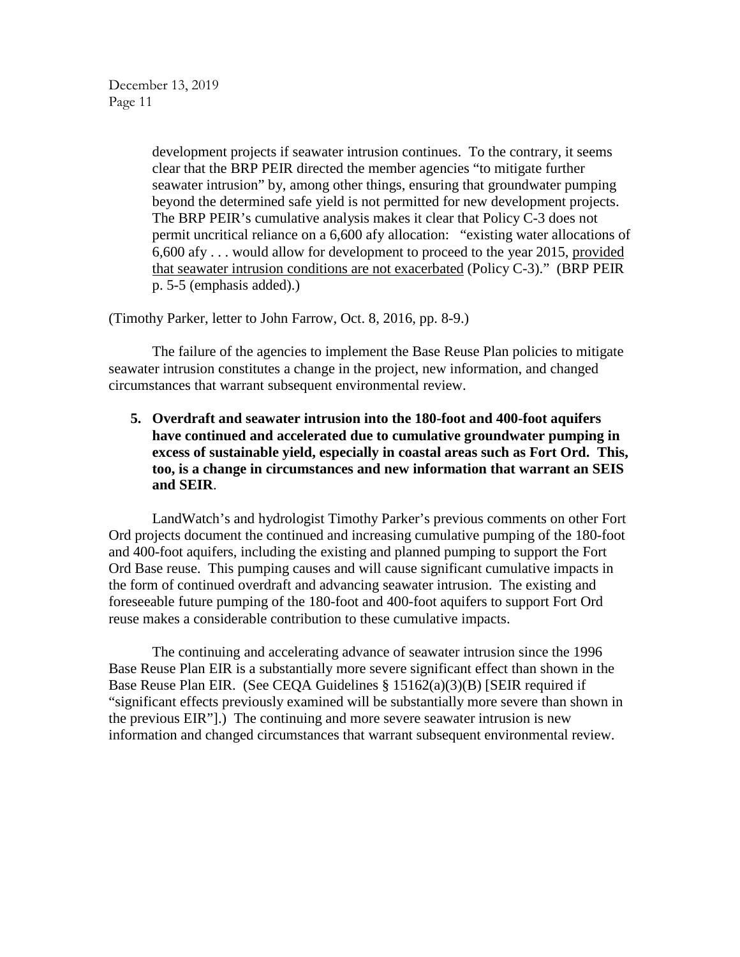development projects if seawater intrusion continues. To the contrary, it seems clear that the BRP PEIR directed the member agencies "to mitigate further seawater intrusion" by, among other things, ensuring that groundwater pumping beyond the determined safe yield is not permitted for new development projects. The BRP PEIR's cumulative analysis makes it clear that Policy C-3 does not permit uncritical reliance on a 6,600 afy allocation: "existing water allocations of 6,600 afy . . . would allow for development to proceed to the year 2015, provided that seawater intrusion conditions are not exacerbated (Policy C-3)." (BRP PEIR p. 5-5 (emphasis added).)

(Timothy Parker, letter to John Farrow, Oct. 8, 2016, pp. 8-9.)

The failure of the agencies to implement the Base Reuse Plan policies to mitigate seawater intrusion constitutes a change in the project, new information, and changed circumstances that warrant subsequent environmental review.

**5. Overdraft and seawater intrusion into the 180-foot and 400-foot aquifers have continued and accelerated due to cumulative groundwater pumping in excess of sustainable yield, especially in coastal areas such as Fort Ord. This, too, is a change in circumstances and new information that warrant an SEIS and SEIR**.

LandWatch's and hydrologist Timothy Parker's previous comments on other Fort Ord projects document the continued and increasing cumulative pumping of the 180-foot and 400-foot aquifers, including the existing and planned pumping to support the Fort Ord Base reuse. This pumping causes and will cause significant cumulative impacts in the form of continued overdraft and advancing seawater intrusion. The existing and foreseeable future pumping of the 180-foot and 400-foot aquifers to support Fort Ord reuse makes a considerable contribution to these cumulative impacts.

The continuing and accelerating advance of seawater intrusion since the 1996 Base Reuse Plan EIR is a substantially more severe significant effect than shown in the Base Reuse Plan EIR. (See CEQA Guidelines § 15162(a)(3)(B) [SEIR required if "significant effects previously examined will be substantially more severe than shown in the previous EIR"].) The continuing and more severe seawater intrusion is new information and changed circumstances that warrant subsequent environmental review.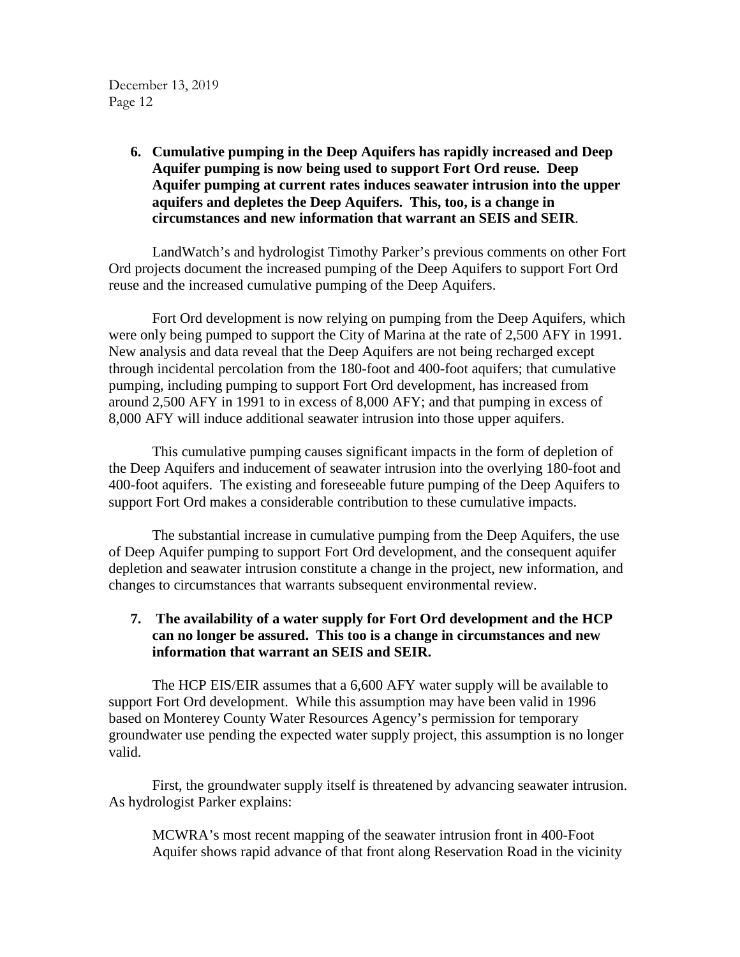# **6. Cumulative pumping in the Deep Aquifers has rapidly increased and Deep Aquifer pumping is now being used to support Fort Ord reuse. Deep Aquifer pumping at current rates induces seawater intrusion into the upper aquifers and depletes the Deep Aquifers. This, too, is a change in circumstances and new information that warrant an SEIS and SEIR**.

LandWatch's and hydrologist Timothy Parker's previous comments on other Fort Ord projects document the increased pumping of the Deep Aquifers to support Fort Ord reuse and the increased cumulative pumping of the Deep Aquifers.

Fort Ord development is now relying on pumping from the Deep Aquifers, which were only being pumped to support the City of Marina at the rate of 2,500 AFY in 1991. New analysis and data reveal that the Deep Aquifers are not being recharged except through incidental percolation from the 180-foot and 400-foot aquifers; that cumulative pumping, including pumping to support Fort Ord development, has increased from around 2,500 AFY in 1991 to in excess of 8,000 AFY; and that pumping in excess of 8,000 AFY will induce additional seawater intrusion into those upper aquifers.

This cumulative pumping causes significant impacts in the form of depletion of the Deep Aquifers and inducement of seawater intrusion into the overlying 180-foot and 400-foot aquifers. The existing and foreseeable future pumping of the Deep Aquifers to support Fort Ord makes a considerable contribution to these cumulative impacts.

The substantial increase in cumulative pumping from the Deep Aquifers, the use of Deep Aquifer pumping to support Fort Ord development, and the consequent aquifer depletion and seawater intrusion constitute a change in the project, new information, and changes to circumstances that warrants subsequent environmental review.

# **7. The availability of a water supply for Fort Ord development and the HCP can no longer be assured. This too is a change in circumstances and new information that warrant an SEIS and SEIR.**

The HCP EIS/EIR assumes that a 6,600 AFY water supply will be available to support Fort Ord development. While this assumption may have been valid in 1996 based on Monterey County Water Resources Agency's permission for temporary groundwater use pending the expected water supply project, this assumption is no longer valid.

First, the groundwater supply itself is threatened by advancing seawater intrusion. As hydrologist Parker explains:

MCWRA's most recent mapping of the seawater intrusion front in 400-Foot Aquifer shows rapid advance of that front along Reservation Road in the vicinity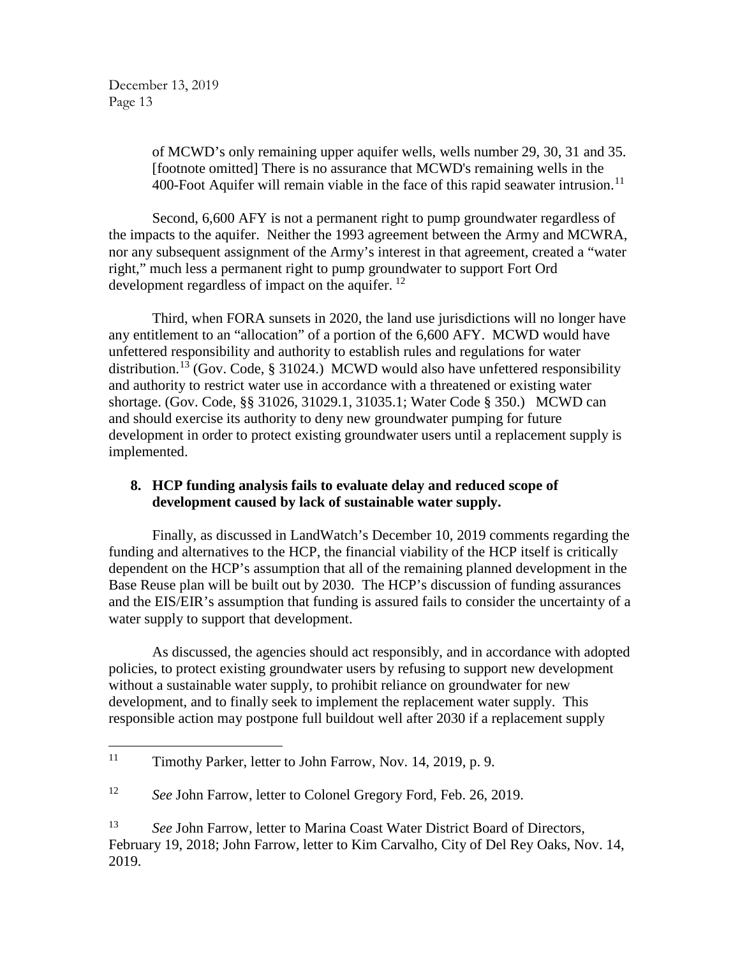> of MCWD's only remaining upper aquifer wells, wells number 29, 30, 31 and 35. [footnote omitted] There is no assurance that MCWD's remaining wells in the 400-Foot Aquifer will remain viable in the face of this rapid seawater intrusion.<sup>[11](#page-12-0)</sup>

Second, 6,600 AFY is not a permanent right to pump groundwater regardless of the impacts to the aquifer. Neither the 1993 agreement between the Army and MCWRA, nor any subsequent assignment of the Army's interest in that agreement, created a "water right," much less a permanent right to pump groundwater to support Fort Ord development regardless of impact on the aquifer.  $^{12}$  $^{12}$  $^{12}$ 

Third, when FORA sunsets in 2020, the land use jurisdictions will no longer have any entitlement to an "allocation" of a portion of the 6,600 AFY. MCWD would have unfettered responsibility and authority to establish rules and regulations for water distribution.<sup>[13](#page-12-2)</sup> (Gov. Code, § 31024.) MCWD would also have unfettered responsibility and authority to restrict water use in accordance with a threatened or existing water shortage. (Gov. Code, §§ 31026, 31029.1, 31035.1; Water Code § 350.) MCWD can and should exercise its authority to deny new groundwater pumping for future development in order to protect existing groundwater users until a replacement supply is implemented.

# **8. HCP funding analysis fails to evaluate delay and reduced scope of development caused by lack of sustainable water supply.**

Finally, as discussed in LandWatch's December 10, 2019 comments regarding the funding and alternatives to the HCP, the financial viability of the HCP itself is critically dependent on the HCP's assumption that all of the remaining planned development in the Base Reuse plan will be built out by 2030. The HCP's discussion of funding assurances and the EIS/EIR's assumption that funding is assured fails to consider the uncertainty of a water supply to support that development.

As discussed, the agencies should act responsibly, and in accordance with adopted policies, to protect existing groundwater users by refusing to support new development without a sustainable water supply, to prohibit reliance on groundwater for new development, and to finally seek to implement the replacement water supply. This responsible action may postpone full buildout well after 2030 if a replacement supply

<span id="page-12-0"></span><sup>&</sup>lt;sup>11</sup> Timothy Parker, letter to John Farrow, Nov. 14, 2019, p. 9.

<span id="page-12-1"></span><sup>12</sup> *See* John Farrow, letter to Colonel Gregory Ford, Feb. 26, 2019.

<span id="page-12-2"></span><sup>13</sup> *See* John Farrow, letter to Marina Coast Water District Board of Directors, February 19, 2018; John Farrow, letter to Kim Carvalho, City of Del Rey Oaks, Nov. 14, 2019.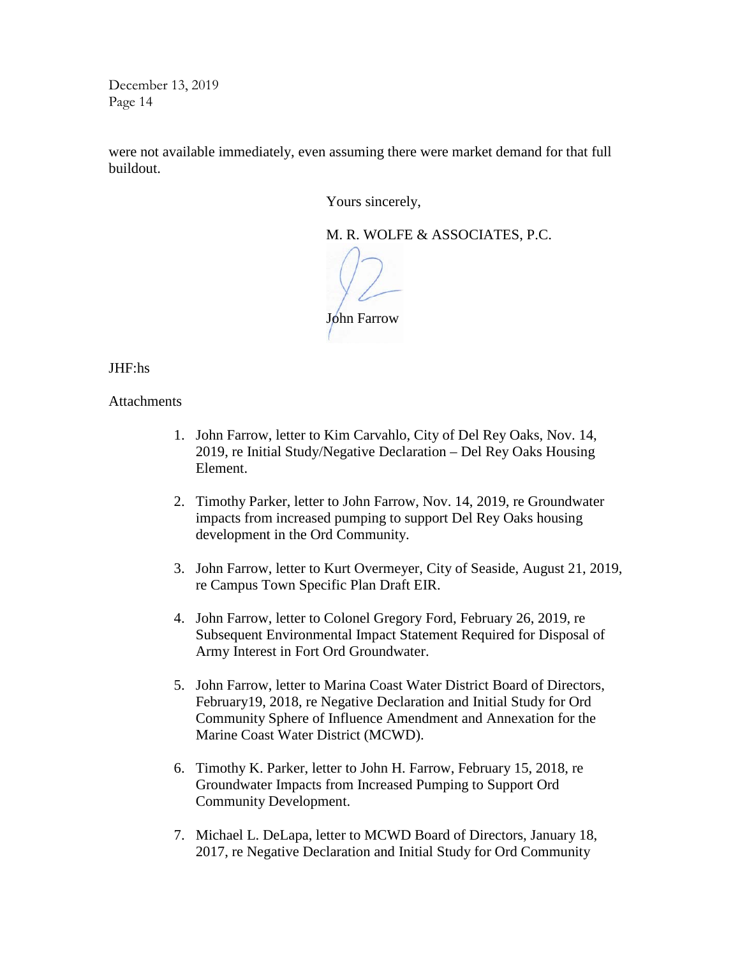were not available immediately, even assuming there were market demand for that full buildout.

Yours sincerely,

M. R. WOLFE & ASSOCIATES, P.C.

John Farrow

JHF:hs

**Attachments** 

- 1. John Farrow, letter to Kim Carvahlo, City of Del Rey Oaks, Nov. 14, 2019, re Initial Study/Negative Declaration – Del Rey Oaks Housing Element.
- 2. Timothy Parker, letter to John Farrow, Nov. 14, 2019, re Groundwater impacts from increased pumping to support Del Rey Oaks housing development in the Ord Community.
- 3. John Farrow, letter to Kurt Overmeyer, City of Seaside, August 21, 2019, re Campus Town Specific Plan Draft EIR.
- 4. John Farrow, letter to Colonel Gregory Ford, February 26, 2019, re Subsequent Environmental Impact Statement Required for Disposal of Army Interest in Fort Ord Groundwater.
- 5. John Farrow, letter to Marina Coast Water District Board of Directors, February19, 2018, re Negative Declaration and Initial Study for Ord Community Sphere of Influence Amendment and Annexation for the Marine Coast Water District (MCWD).
- 6. Timothy K. Parker, letter to John H. Farrow, February 15, 2018, re Groundwater Impacts from Increased Pumping to Support Ord Community Development.
- 7. Michael L. DeLapa, letter to MCWD Board of Directors, January 18, 2017, re Negative Declaration and Initial Study for Ord Community